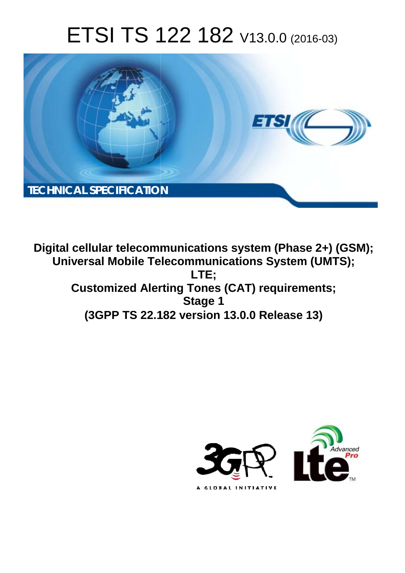# ETSI TS 122 182 V13.0.0 (2016-03)



**Digital cellular telecommunications system (Phase 2+) (GSM); Universal Mobile Tel elecommunications System ( (UMTS); Customized Alerting Tones (CAT) requirements; (3GPP TS 22.1 .182 version 13.0.0 Release 13 13) LTE; Stage 1** 

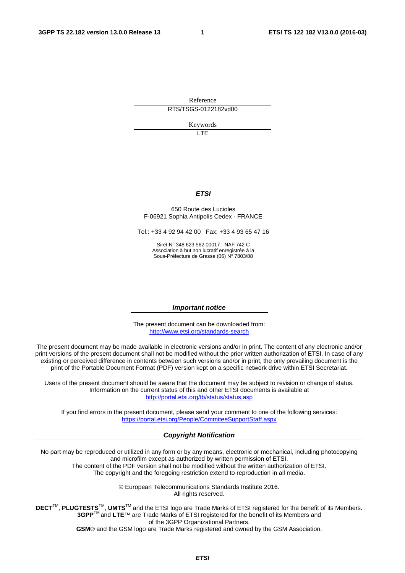Reference RTS/TSGS-0122182vd00

Keywords

**TTE** 

#### *ETSI*

#### 650 Route des Lucioles F-06921 Sophia Antipolis Cedex - FRANCE

Tel.: +33 4 92 94 42 00 Fax: +33 4 93 65 47 16

Siret N° 348 623 562 00017 - NAF 742 C Association à but non lucratif enregistrée à la Sous-Préfecture de Grasse (06) N° 7803/88

#### *Important notice*

The present document can be downloaded from: <http://www.etsi.org/standards-search>

The present document may be made available in electronic versions and/or in print. The content of any electronic and/or print versions of the present document shall not be modified without the prior written authorization of ETSI. In case of any existing or perceived difference in contents between such versions and/or in print, the only prevailing document is the print of the Portable Document Format (PDF) version kept on a specific network drive within ETSI Secretariat.

Users of the present document should be aware that the document may be subject to revision or change of status. Information on the current status of this and other ETSI documents is available at <http://portal.etsi.org/tb/status/status.asp>

If you find errors in the present document, please send your comment to one of the following services: <https://portal.etsi.org/People/CommiteeSupportStaff.aspx>

#### *Copyright Notification*

No part may be reproduced or utilized in any form or by any means, electronic or mechanical, including photocopying and microfilm except as authorized by written permission of ETSI.

The content of the PDF version shall not be modified without the written authorization of ETSI. The copyright and the foregoing restriction extend to reproduction in all media.

> © European Telecommunications Standards Institute 2016. All rights reserved.

**DECT**TM, **PLUGTESTS**TM, **UMTS**TM and the ETSI logo are Trade Marks of ETSI registered for the benefit of its Members. **3GPP**TM and **LTE**™ are Trade Marks of ETSI registered for the benefit of its Members and of the 3GPP Organizational Partners.

**GSM**® and the GSM logo are Trade Marks registered and owned by the GSM Association.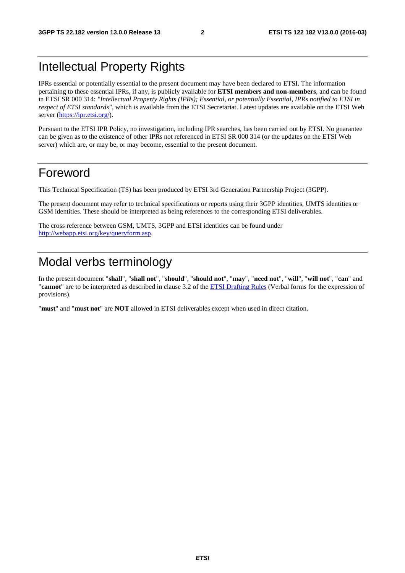## Intellectual Property Rights

IPRs essential or potentially essential to the present document may have been declared to ETSI. The information pertaining to these essential IPRs, if any, is publicly available for **ETSI members and non-members**, and can be found in ETSI SR 000 314: *"Intellectual Property Rights (IPRs); Essential, or potentially Essential, IPRs notified to ETSI in respect of ETSI standards"*, which is available from the ETSI Secretariat. Latest updates are available on the ETSI Web server ([https://ipr.etsi.org/\)](https://ipr.etsi.org/).

Pursuant to the ETSI IPR Policy, no investigation, including IPR searches, has been carried out by ETSI. No guarantee can be given as to the existence of other IPRs not referenced in ETSI SR 000 314 (or the updates on the ETSI Web server) which are, or may be, or may become, essential to the present document.

## Foreword

This Technical Specification (TS) has been produced by ETSI 3rd Generation Partnership Project (3GPP).

The present document may refer to technical specifications or reports using their 3GPP identities, UMTS identities or GSM identities. These should be interpreted as being references to the corresponding ETSI deliverables.

The cross reference between GSM, UMTS, 3GPP and ETSI identities can be found under [http://webapp.etsi.org/key/queryform.asp.](http://webapp.etsi.org/key/queryform.asp)

## Modal verbs terminology

In the present document "**shall**", "**shall not**", "**should**", "**should not**", "**may**", "**need not**", "**will**", "**will not**", "**can**" and "**cannot**" are to be interpreted as described in clause 3.2 of the [ETSI Drafting Rules](http://portal.etsi.org/Help/editHelp!/Howtostart/ETSIDraftingRules.aspx) (Verbal forms for the expression of provisions).

"**must**" and "**must not**" are **NOT** allowed in ETSI deliverables except when used in direct citation.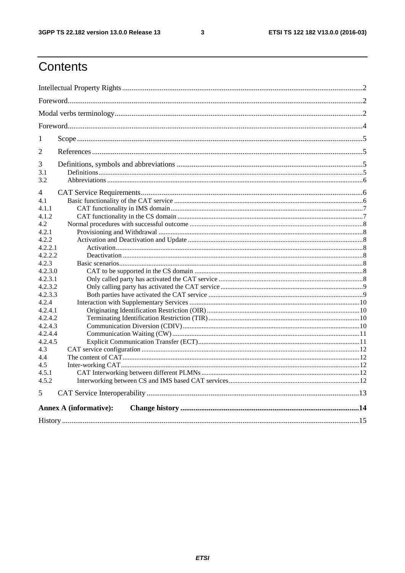$\mathbf{3}$ 

## Contents

| 1                |                               |  |  |  |  |
|------------------|-------------------------------|--|--|--|--|
| 2                |                               |  |  |  |  |
| 3                |                               |  |  |  |  |
| 3.1              |                               |  |  |  |  |
| 3.2              |                               |  |  |  |  |
| 4                |                               |  |  |  |  |
| 4.1              |                               |  |  |  |  |
| 4.1.1            |                               |  |  |  |  |
| 4.1.2            |                               |  |  |  |  |
| 4.2              |                               |  |  |  |  |
| 4.2.1            |                               |  |  |  |  |
| 4.2.2            |                               |  |  |  |  |
| 4.2.2.1          |                               |  |  |  |  |
| 4.2.2.2          |                               |  |  |  |  |
| 4.2.3            |                               |  |  |  |  |
| 4.2.3.0          |                               |  |  |  |  |
| 4.2.3.1          |                               |  |  |  |  |
| 4.2.3.2          |                               |  |  |  |  |
| 4.2.3.3<br>4.2.4 |                               |  |  |  |  |
| 4.2.4.1          |                               |  |  |  |  |
| 4.2.4.2          |                               |  |  |  |  |
| 4.2.4.3          |                               |  |  |  |  |
| 4.2.4.4          |                               |  |  |  |  |
| 4.2.4.5          |                               |  |  |  |  |
| 4.3              |                               |  |  |  |  |
| 4.4              |                               |  |  |  |  |
| 4.5              |                               |  |  |  |  |
| 4.5.1            |                               |  |  |  |  |
| 4.5.2            |                               |  |  |  |  |
| 5                |                               |  |  |  |  |
|                  | <b>Annex A (informative):</b> |  |  |  |  |
|                  |                               |  |  |  |  |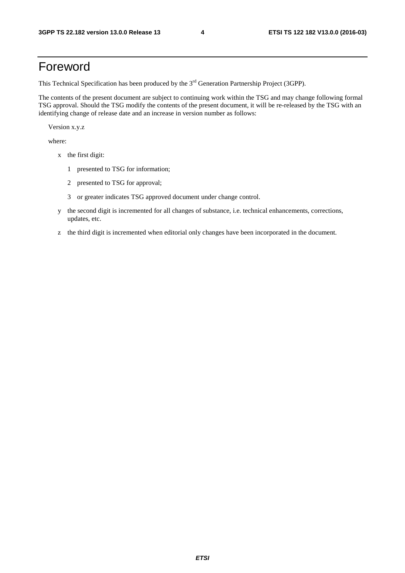## Foreword

This Technical Specification has been produced by the 3<sup>rd</sup> Generation Partnership Project (3GPP).

The contents of the present document are subject to continuing work within the TSG and may change following formal TSG approval. Should the TSG modify the contents of the present document, it will be re-released by the TSG with an identifying change of release date and an increase in version number as follows:

Version x.y.z

where:

- x the first digit:
	- 1 presented to TSG for information;
	- 2 presented to TSG for approval;
	- 3 or greater indicates TSG approved document under change control.
- y the second digit is incremented for all changes of substance, i.e. technical enhancements, corrections, updates, etc.
- z the third digit is incremented when editorial only changes have been incorporated in the document.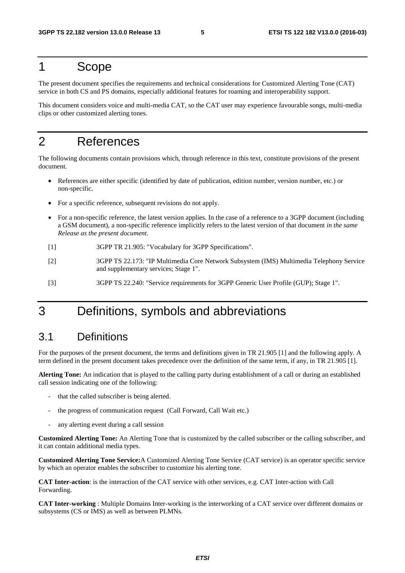## 1 Scope

The present document specifies the requirements and technical considerations for Customized Alerting Tone (CAT) service in both CS and PS domains, especially additional features for roaming and interoperability support.

This document considers voice and multi-media CAT, so the CAT user may experience favourable songs, multi-media clips or other customized alerting tones.

## 2 References

The following documents contain provisions which, through reference in this text, constitute provisions of the present document.

- References are either specific (identified by date of publication, edition number, version number, etc.) or non-specific.
- For a specific reference, subsequent revisions do not apply.
- For a non-specific reference, the latest version applies. In the case of a reference to a 3GPP document (including a GSM document), a non-specific reference implicitly refers to the latest version of that document *in the same Release as the present document*.
- [1] 3GPP TR 21.905: "Vocabulary for 3GPP Specifications".
- [2] 3GPP TS 22.173: "IP Multimedia Core Network Subsystem (IMS) Multimedia Telephony Service and supplementary services; Stage 1".
- [3] 3GPP TS 22.240: "Service requirements for 3GPP Generic User Profile (GUP); Stage 1".

## 3 Definitions, symbols and abbreviations

### 3.1 Definitions

For the purposes of the present document, the terms and definitions given in TR 21.905 [1] and the following apply. A term defined in the present document takes precedence over the definition of the same term, if any, in TR 21.905 [1].

**Alerting Tone:** An indication that is played to the calling party during establishment of a call or during an established call session indicating one of the following:

- that the called subscriber is being alerted.
- the progress of communication request (Call Forward, Call Wait etc.)
- any alerting event during a call session

**Customized Alerting Tone:** An Alerting Tone that is customized by the called subscriber or the calling subscriber, and it can contain additional media types.

**Customized Alerting Tone Service:**A Customized Alerting Tone Service (CAT service) is an operator specific service by which an operator enables the subscriber to customize his alerting tone.

**CAT Inter-action**: is the interaction of the CAT service with other services, e.g. CAT Inter-action with Call Forwarding.

**CAT Inter-working** : Multiple Domains Inter-working is the interworking of a CAT service over different domains or subsystems (CS or IMS) as well as between PLMNs.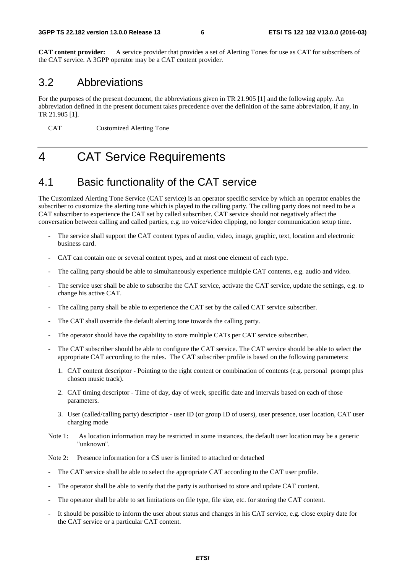**CAT content provider:** A service provider that provides a set of Alerting Tones for use as CAT for subscribers of the CAT service. A 3GPP operator may be a CAT content provider.

### 3.2 Abbreviations

For the purposes of the present document, the abbreviations given in TR 21.905 [1] and the following apply. An abbreviation defined in the present document takes precedence over the definition of the same abbreviation, if any, in TR 21.905 [1].

CAT Customized Alerting Tone

## 4 CAT Service Requirements

## 4.1 Basic functionality of the CAT service

The Customized Alerting Tone Service (CAT service) is an operator specific service by which an operator enables the subscriber to customize the alerting tone which is played to the calling party. The calling party does not need to be a CAT subscriber to experience the CAT set by called subscriber. CAT service should not negatively affect the conversation between calling and called parties, e.g. no voice/video clipping, no longer communication setup time.

- The service shall support the CAT content types of audio, video, image, graphic, text, location and electronic business card.
- CAT can contain one or several content types, and at most one element of each type.
- The calling party should be able to simultaneously experience multiple CAT contents, e.g. audio and video.
- The service user shall be able to subscribe the CAT service, activate the CAT service, update the settings, e.g. to change his active CAT.
- The calling party shall be able to experience the CAT set by the called CAT service subscriber.
- The CAT shall override the default alerting tone towards the calling party.
- The operator should have the capability to store multiple CATs per CAT service subscriber.
- The CAT subscriber should be able to configure the CAT service. The CAT service should be able to select the appropriate CAT according to the rules. The CAT subscriber profile is based on the following parameters:
	- 1. CAT content descriptor Pointing to the right content or combination of contents (e.g. personal prompt plus chosen music track).
	- 2. CAT timing descriptor Time of day, day of week, specific date and intervals based on each of those parameters.
	- 3. User (called/calling party) descriptor user ID (or group ID of users), user presence, user location, CAT user charging mode
- Note 1: As location information may be restricted in some instances, the default user location may be a generic "unknown".
- Note 2: Presence information for a CS user is limited to attached or detached
- The CAT service shall be able to select the appropriate CAT according to the CAT user profile.
- The operator shall be able to verify that the party is authorised to store and update CAT content.
- The operator shall be able to set limitations on file type, file size, etc. for storing the CAT content.
- It should be possible to inform the user about status and changes in his CAT service, e.g. close expiry date for the CAT service or a particular CAT content.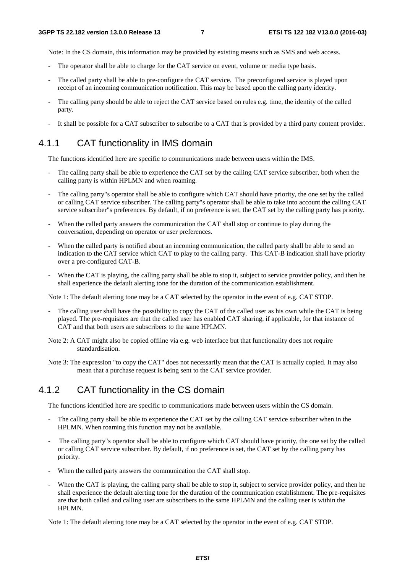Note: In the CS domain, this information may be provided by existing means such as SMS and web access.

- The operator shall be able to charge for the CAT service on event, volume or media type basis.
- The called party shall be able to pre-configure the CAT service. The preconfigured service is played upon receipt of an incoming communication notification. This may be based upon the calling party identity.
- The calling party should be able to reject the CAT service based on rules e.g. time, the identity of the called party.
- It shall be possible for a CAT subscriber to subscribe to a CAT that is provided by a third party content provider.

#### 4.1.1 CAT functionality in IMS domain

The functions identified here are specific to communications made between users within the IMS.

- The calling party shall be able to experience the CAT set by the calling CAT service subscriber, both when the calling party is within HPLMN and when roaming.
- The calling party"s operator shall be able to configure which CAT should have priority, the one set by the called or calling CAT service subscriber. The calling party"s operator shall be able to take into account the calling CAT service subscriber"s preferences. By default, if no preference is set, the CAT set by the calling party has priority.
- When the called party answers the communication the CAT shall stop or continue to play during the conversation, depending on operator or user preferences.
- When the called party is notified about an incoming communication, the called party shall be able to send an indication to the CAT service which CAT to play to the calling party. This CAT-B indication shall have priority over a pre-configured CAT-B.
- When the CAT is playing, the calling party shall be able to stop it, subject to service provider policy, and then he shall experience the default alerting tone for the duration of the communication establishment.

Note 1: The default alerting tone may be a CAT selected by the operator in the event of e.g. CAT STOP.

- The calling user shall have the possibility to copy the CAT of the called user as his own while the CAT is being played. The pre-requisites are that the called user has enabled CAT sharing, if applicable, for that instance of CAT and that both users are subscribers to the same HPLMN.
- Note 2: A CAT might also be copied offline via e.g. web interface but that functionality does not require standardisation.
- Note 3: The expression "to copy the CAT" does not necessarily mean that the CAT is actually copied. It may also mean that a purchase request is being sent to the CAT service provider.

#### 4.1.2 CAT functionality in the CS domain

The functions identified here are specific to communications made between users within the CS domain.

- The calling party shall be able to experience the CAT set by the calling CAT service subscriber when in the HPLMN. When roaming this function may not be available.
- The calling party"s operator shall be able to configure which CAT should have priority, the one set by the called or calling CAT service subscriber. By default, if no preference is set, the CAT set by the calling party has priority.
- When the called party answers the communication the CAT shall stop.
- When the CAT is playing, the calling party shall be able to stop it, subject to service provider policy, and then he shall experience the default alerting tone for the duration of the communication establishment. The pre-requisites are that both called and calling user are subscribers to the same HPLMN and the calling user is within the HPLMN.

Note 1: The default alerting tone may be a CAT selected by the operator in the event of e.g. CAT STOP.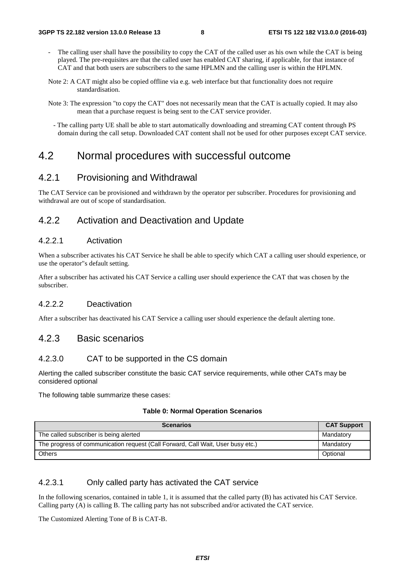- The calling user shall have the possibility to copy the CAT of the called user as his own while the CAT is being played. The pre-requisites are that the called user has enabled CAT sharing, if applicable, for that instance of CAT and that both users are subscribers to the same HPLMN and the calling user is within the HPLMN.
- Note 2: A CAT might also be copied offline via e.g. web interface but that functionality does not require standardisation.
- Note 3: The expression "to copy the CAT" does not necessarily mean that the CAT is actually copied. It may also mean that a purchase request is being sent to the CAT service provider.
	- The calling party UE shall be able to start automatically downloading and streaming CAT content through PS domain during the call setup. Downloaded CAT content shall not be used for other purposes except CAT service.

### 4.2 Normal procedures with successful outcome

#### 4.2.1 Provisioning and Withdrawal

The CAT Service can be provisioned and withdrawn by the operator per subscriber. Procedures for provisioning and withdrawal are out of scope of standardisation.

#### 4.2.2 Activation and Deactivation and Update

#### 4.2.2.1 Activation

When a subscriber activates his CAT Service he shall be able to specify which CAT a calling user should experience, or use the operator"s default setting.

After a subscriber has activated his CAT Service a calling user should experience the CAT that was chosen by the subscriber.

#### 4.2.2.2 Deactivation

After a subscriber has deactivated his CAT Service a calling user should experience the default alerting tone.

#### 4.2.3 Basic scenarios

#### 4.2.3.0 CAT to be supported in the CS domain

Alerting the called subscriber constitute the basic CAT service requirements, while other CATs may be considered optional

The following table summarize these cases:

#### **Table 0: Normal Operation Scenarios**

| <b>Scenarios</b>                                                                | <b>CAT Support</b> |
|---------------------------------------------------------------------------------|--------------------|
| The called subscriber is being alerted                                          | Mandatory          |
| The progress of communication request (Call Forward, Call Wait, User busy etc.) | Mandatory          |
| <b>Others</b>                                                                   | Optional           |

#### 4.2.3.1 Only called party has activated the CAT service

In the following scenarios, contained in table 1, it is assumed that the called party (B) has activated his CAT Service. Calling party (A) is calling B. The calling party has not subscribed and/or activated the CAT service.

The Customized Alerting Tone of B is CAT-B.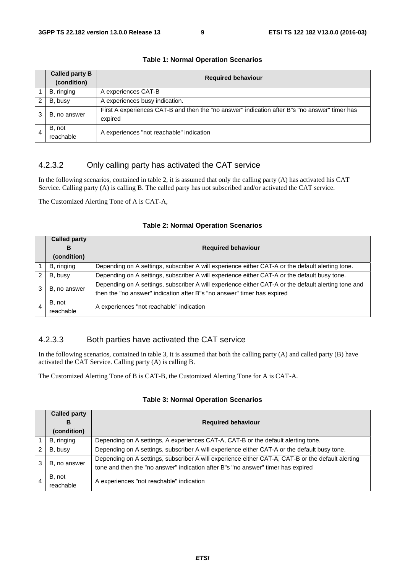|                                                                                                                          | <b>Called party B</b><br>(condition) | <b>Required behaviour</b>                |  |  |  |  |  |
|--------------------------------------------------------------------------------------------------------------------------|--------------------------------------|------------------------------------------|--|--|--|--|--|
|                                                                                                                          | B, ringing                           | A experiences CAT-B                      |  |  |  |  |  |
|                                                                                                                          | B, busy                              | A experiences busy indication.           |  |  |  |  |  |
| First A experiences CAT-B and then the "no answer" indication after B"s "no answer" timer has<br>B, no answer<br>expired |                                      |                                          |  |  |  |  |  |
|                                                                                                                          | B, not<br>reachable                  | A experiences "not reachable" indication |  |  |  |  |  |

#### **Table 1: Normal Operation Scenarios**

#### 4.2.3.2 Only calling party has activated the CAT service

In the following scenarios, contained in table 2, it is assumed that only the calling party (A) has activated his CAT Service. Calling party (A) is calling B. The called party has not subscribed and/or activated the CAT service.

The Customized Alerting Tone of A is CAT-A,

#### **Table 2: Normal Operation Scenarios**

|   | <b>Called party</b> |                                                                                                     |  |  |  |  |
|---|---------------------|-----------------------------------------------------------------------------------------------------|--|--|--|--|
|   | в                   | <b>Required behaviour</b>                                                                           |  |  |  |  |
|   | (condition)         |                                                                                                     |  |  |  |  |
|   | B, ringing          | Depending on A settings, subscriber A will experience either CAT-A or the default alerting tone.    |  |  |  |  |
| 2 | B, busy             | Depending on A settings, subscriber A will experience either CAT-A or the default busy tone.        |  |  |  |  |
|   | B, no answer        | Depending on A settings, subscriber A will experience either CAT-A or the default alerting tone and |  |  |  |  |
|   |                     | then the "no answer" indication after B"s "no answer" timer has expired                             |  |  |  |  |
|   | B, not              | A experiences "not reachable" indication                                                            |  |  |  |  |
|   | reachable           |                                                                                                     |  |  |  |  |

#### 4.2.3.3 Both parties have activated the CAT service

In the following scenarios, contained in table 3, it is assumed that both the calling party (A) and called party (B) have activated the CAT Service. Calling party (A) is calling B.

The Customized Alerting Tone of B is CAT-B, the Customized Alerting Tone for A is CAT-A.

|               | <b>Called party</b><br>в | <b>Required behaviour</b>                                                                         |  |  |  |  |
|---------------|--------------------------|---------------------------------------------------------------------------------------------------|--|--|--|--|
|               | (condition)              |                                                                                                   |  |  |  |  |
|               | B, ringing               | Depending on A settings, A experiences CAT-A, CAT-B or the default alerting tone.                 |  |  |  |  |
| $\mathcal{P}$ | B, busy                  | Depending on A settings, subscriber A will experience either CAT-A or the default busy tone.      |  |  |  |  |
| 3             | B, no answer             | Depending on A settings, subscriber A will experience either CAT-A, CAT-B or the default alerting |  |  |  |  |
|               |                          | tone and then the "no answer" indication after B"s "no answer" timer has expired                  |  |  |  |  |
|               | B, not                   | A experiences "not reachable" indication                                                          |  |  |  |  |
|               | reachable                |                                                                                                   |  |  |  |  |

#### **Table 3: Normal Operation Scenarios**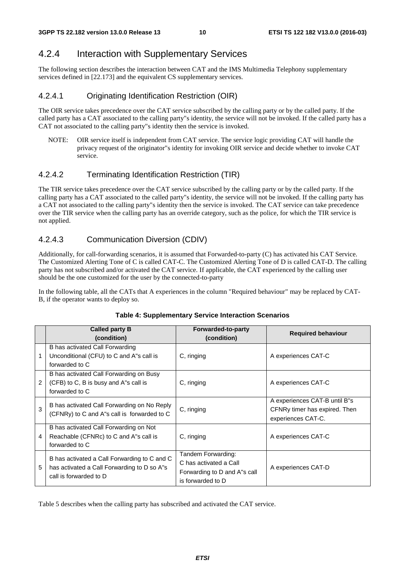### 4.2.4 Interaction with Supplementary Services

The following section describes the interaction between CAT and the IMS Multimedia Telephony supplementary services defined in [22.173] and the equivalent CS supplementary services.

#### 4.2.4.1 Originating Identification Restriction (OIR)

The OIR service takes precedence over the CAT service subscribed by the calling party or by the called party. If the called party has a CAT associated to the calling party"s identity, the service will not be invoked. If the called party has a CAT not associated to the calling party"s identity then the service is invoked.

NOTE: OIR service itself is independent from CAT service. The service logic providing CAT will handle the privacy request of the originator"s identity for invoking OIR service and decide whether to invoke CAT service.

#### 4.2.4.2 Terminating Identification Restriction (TIR)

The TIR service takes precedence over the CAT service subscribed by the calling party or by the called party. If the calling party has a CAT associated to the called party"s identity, the service will not be invoked. If the calling party has a CAT not associated to the calling party"s identity then the service is invoked. The CAT service can take precedence over the TIR service when the calling party has an override category, such as the police, for which the TIR service is not applied.

#### 4.2.4.3 Communication Diversion (CDIV)

Additionally, for call-forwarding scenarios, it is assumed that Forwarded-to-party (C) has activated his CAT Service. The Customized Alerting Tone of C is called CAT-C. The Customized Alerting Tone of D is called CAT-D. The calling party has not subscribed and/or activated the CAT service. If applicable, the CAT experienced by the calling user should be the one customized for the user by the connected-to-party

In the following table, all the CATs that A experiences in the column "Required behaviour" may be replaced by CAT-B, if the operator wants to deploy so.

|   | <b>Called party B</b><br>(condition)                                                                                  | Forwarded-to-party<br>(condition)                                                                 | <b>Required behaviour</b>                                                            |
|---|-----------------------------------------------------------------------------------------------------------------------|---------------------------------------------------------------------------------------------------|--------------------------------------------------------------------------------------|
| 1 | B has activated Call Forwarding<br>Unconditional (CFU) to C and A"s call is<br>forwarded to C                         | C, ringing                                                                                        | A experiences CAT-C                                                                  |
| 2 | B has activated Call Forwarding on Busy<br>(CFB) to C, B is busy and A''s call is<br>forwarded to C                   | C, ringing                                                                                        | A experiences CAT-C                                                                  |
| 3 | B has activated Call Forwarding on No Reply<br>(CFNRy) to C and A"s call is forwarded to C                            | C, ringing                                                                                        | A experiences CAT-B until B"s<br>CFNRy timer has expired. Then<br>experiences CAT-C. |
| 4 | B has activated Call Forwarding on Not<br>Reachable (CFNRc) to C and A''s call is<br>forwarded to C                   | C, ringing                                                                                        | A experiences CAT-C                                                                  |
| 5 | B has activated a Call Forwarding to C and C<br>has activated a Call Forwarding to D so A"s<br>call is forwarded to D | Tandem Forwarding:<br>C has activated a Call<br>Forwarding to D and A"s call<br>is forwarded to D | A experiences CAT-D                                                                  |

#### **Table 4: Supplementary Service Interaction Scenarios**

Table 5 describes when the calling party has subscribed and activated the CAT service.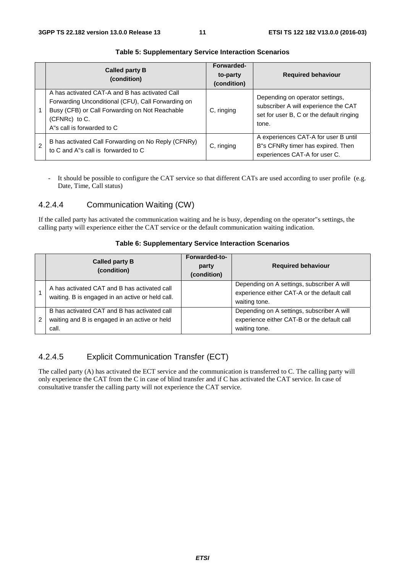| Called party B<br>(condition)                                                                                                                                                                           | Forwarded-<br>to-party<br>(condition) | <b>Required behaviour</b>                                                                                                    |
|---------------------------------------------------------------------------------------------------------------------------------------------------------------------------------------------------------|---------------------------------------|------------------------------------------------------------------------------------------------------------------------------|
| A has activated CAT-A and B has activated Call<br>Forwarding Unconditional (CFU), Call Forwarding on<br>Busy (CFB) or Call Forwarding on Not Reachable<br>$(CFNRc)$ to C.<br>A's call is forwarded to C | C, ringing                            | Depending on operator settings,<br>subscriber A will experience the CAT<br>set for user B, C or the default ringing<br>tone. |
| B has activated Call Forwarding on No Reply (CFNRy)<br>to C and A"s call is forwarded to C                                                                                                              | C, ringing                            | A experiences CAT-A for user B until<br>B"s CFNRy timer has expired. Then<br>experiences CAT-A for user C.                   |

#### **Table 5: Supplementary Service Interaction Scenarios**

- It should be possible to configure the CAT service so that different CATs are used according to user profile (e.g. Date, Time, Call status)

#### 4.2.4.4 Communication Waiting (CW)

If the called party has activated the communication waiting and he is busy, depending on the operator"s settings, the calling party will experience either the CAT service or the default communication waiting indication.

#### **Table 6: Supplementary Service Interaction Scenarios**

|   | <b>Called party B</b><br>(condition)                                                                   | Forwarded-to-<br>party<br>(condition) | <b>Required behaviour</b>                                                                                  |
|---|--------------------------------------------------------------------------------------------------------|---------------------------------------|------------------------------------------------------------------------------------------------------------|
|   | A has activated CAT and B has activated call<br>waiting. B is engaged in an active or held call.       |                                       | Depending on A settings, subscriber A will<br>experience either CAT-A or the default call<br>waiting tone. |
| 2 | B has activated CAT and B has activated call<br>waiting and B is engaged in an active or held<br>call. |                                       | Depending on A settings, subscriber A will<br>experience either CAT-B or the default call<br>waiting tone. |

#### 4.2.4.5 Explicit Communication Transfer (ECT)

The called party (A) has activated the ECT service and the communication is transferred to C. The calling party will only experience the CAT from the C in case of blind transfer and if C has activated the CAT service. In case of consultative transfer the calling party will not experience the CAT service.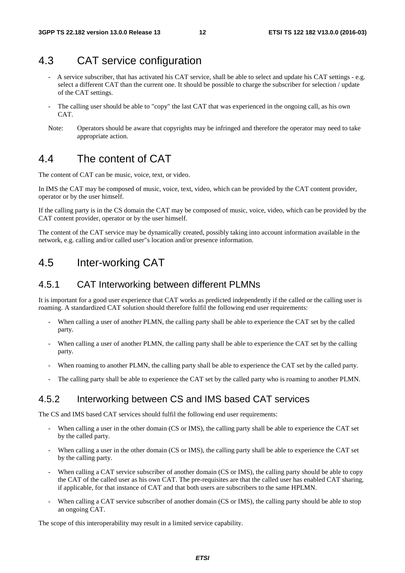### 4.3 CAT service configuration

- A service subscriber, that has activated his CAT service, shall be able to select and update his CAT settings e.g. select a different CAT than the current one. It should be possible to charge the subscriber for selection / update of the CAT settings.
- The calling user should be able to "copy" the last CAT that was experienced in the ongoing call, as his own CAT.
- Note: Operators should be aware that copyrights may be infringed and therefore the operator may need to take appropriate action.

## 4.4 The content of CAT

The content of CAT can be music, voice, text, or video.

In IMS the CAT may be composed of music, voice, text, video, which can be provided by the CAT content provider, operator or by the user himself.

If the calling party is in the CS domain the CAT may be composed of music, voice, video, which can be provided by the CAT content provider, operator or by the user himself.

The content of the CAT service may be dynamically created, possibly taking into account information available in the network, e.g. calling and/or called user"s location and/or presence information.

## 4.5 Inter-working CAT

#### 4.5.1 CAT Interworking between different PLMNs

It is important for a good user experience that CAT works as predicted independently if the called or the calling user is roaming. A standardized CAT solution should therefore fulfil the following end user requirements:

- When calling a user of another PLMN, the calling party shall be able to experience the CAT set by the called party.
- When calling a user of another PLMN, the calling party shall be able to experience the CAT set by the calling party.
- When roaming to another PLMN, the calling party shall be able to experience the CAT set by the called party.
- The calling party shall be able to experience the CAT set by the called party who is roaming to another PLMN.

#### 4.5.2 Interworking between CS and IMS based CAT services

The CS and IMS based CAT services should fulfil the following end user requirements:

- When calling a user in the other domain (CS or IMS), the calling party shall be able to experience the CAT set by the called party.
- When calling a user in the other domain (CS or IMS), the calling party shall be able to experience the CAT set by the calling party.
- When calling a CAT service subscriber of another domain (CS or IMS), the calling party should be able to copy the CAT of the called user as his own CAT. The pre-requisites are that the called user has enabled CAT sharing, if applicable, for that instance of CAT and that both users are subscribers to the same HPLMN.
- When calling a CAT service subscriber of another domain (CS or IMS), the calling party should be able to stop an ongoing CAT.

The scope of this interoperability may result in a limited service capability.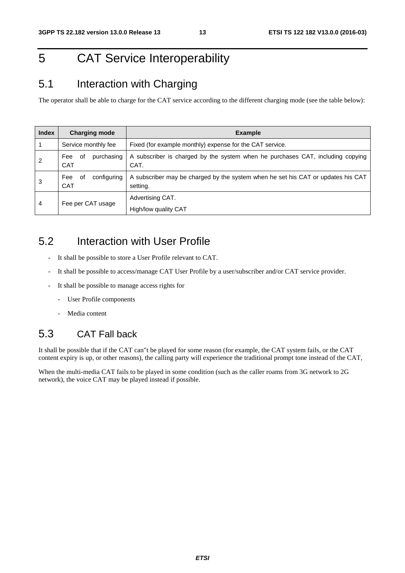## 5 CAT Service Interoperability

## 5.1 Interaction with Charging

The operator shall be able to charge for the CAT service according to the different charging mode (see the table below):

| <b>Index</b> | <b>Charging mode</b>                   | <b>Example</b>                                                                               |
|--------------|----------------------------------------|----------------------------------------------------------------------------------------------|
|              | Service monthly fee                    | Fixed (for example monthly) expense for the CAT service.                                     |
| 2            | purchasing<br>of<br>Fee<br><b>CAT</b>  | A subscriber is charged by the system when he purchases CAT, including copying<br>CAT.       |
| 3            | configuring<br>Fee<br>of<br><b>CAT</b> | A subscriber may be charged by the system when he set his CAT or updates his CAT<br>setting. |
| 4            | Fee per CAT usage                      | Advertising CAT.<br>High/low quality CAT                                                     |

## 5.2 Interaction with User Profile

- It shall be possible to store a User Profile relevant to CAT.
- It shall be possible to access/manage CAT User Profile by a user/subscriber and/or CAT service provider.
- It shall be possible to manage access rights for
	- User Profile components
	- Media content

## 5.3 CAT Fall back

It shall be possible that if the CAT can"t be played for some reason (for example, the CAT system fails, or the CAT content expiry is up, or other reasons), the calling party will experience the traditional prompt tone instead of the CAT,

When the multi-media CAT fails to be played in some condition (such as the caller roams from 3G network to 2G network), the voice CAT may be played instead if possible.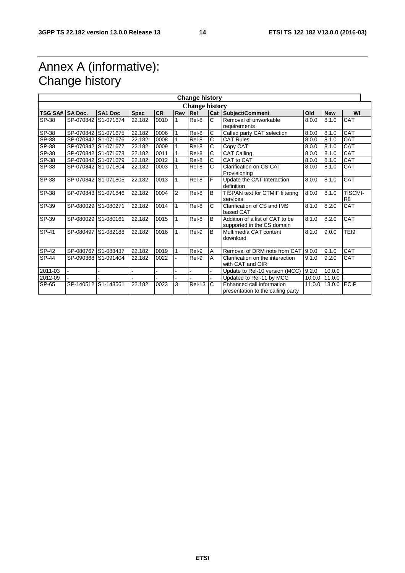## Annex A (informative): Change history

|                | <b>Change history</b> |                     |             |      |                |                       |                    |                                                                |        |            |                                  |
|----------------|-----------------------|---------------------|-------------|------|----------------|-----------------------|--------------------|----------------------------------------------------------------|--------|------------|----------------------------------|
|                |                       |                     |             |      |                | <b>Change history</b> |                    |                                                                |        |            |                                  |
| <b>TSG SA#</b> | <b>SA Doc.</b>        | SA1 Doc             | <b>Spec</b> | CR   | Rev            | Rel                   |                    | Cat Subject/Comment                                            | Old    | <b>New</b> | WI                               |
| SP-38          |                       | SP-070842 S1-071674 | 22.182      | 0010 | $\mathbf{1}$   | Rel-8                 | C                  | Removal of unworkable<br>requirements                          | 8.0.0  | 8.1.0      | CAT                              |
| SP-38          |                       | SP-070842 S1-071675 | 22.182      | 0006 |                | Rel-8                 | С                  | Called party CAT selection                                     | 8.0.0  | 8.1.0      | CAT                              |
| SP-38          |                       | SP-070842 S1-071676 | 22.182      | 0008 |                | Rel-8                 | $\overline{\rm c}$ | <b>CAT Rules</b>                                               | 8.0.0  | 8.1.0      | <b>CAT</b>                       |
| SP-38          |                       | SP-070842 S1-071677 | 22.182      | 0009 |                | Rel-8                 | C                  | Copy CAT                                                       | 8.0.0  | 8.1.0      | CAT                              |
| SP-38          |                       | SP-070842 S1-071678 | 22.182      | 0011 |                | Rel-8                 | Ć                  | CAT Calling                                                    | 8.0.0  | 8.1.0      | CAT                              |
| SP-38          |                       | SP-070842 S1-071679 | 22.182      | 0012 |                | Rel-8                 | Ć                  | CAT to CAT                                                     | 8.0.0  | 8.1.0      | CAT                              |
| SP-38          |                       | SP-070842 S1-071804 | 22.182      | 0003 | 1              | Rel-8                 | C                  | <b>Clarification on CS CAT</b><br>Provisioning                 | 8.0.0  | 8.1.0      | <b>CAT</b>                       |
| SP-38          |                       | SP-070842 S1-071805 | 22.182      | 0013 | 1              | Rel-8                 | F                  | Update the CAT Interaction<br>definition                       | 8.0.0  | 8.1.0      | CAT                              |
| SP-38          |                       | SP-070843 S1-071846 | 22.182      | 0004 | $\overline{2}$ | Rel-8                 | B                  | TISPAN text for CTMIF filtering<br>services                    | 8.0.0  | 8.1.0      | <b>TISCMI-</b><br>R <sub>8</sub> |
| SP-39          |                       | SP-080029 S1-080271 | 22.182      | 0014 | 1              | Rel-8                 | Ć                  | Clarification of CS and IMS<br>based CAT                       | 8.1.0  | 8.2.0      | CAT                              |
| SP-39          |                       | SP-080029 S1-080161 | 22.182      | 0015 | 1              | Rel-8                 | B                  | Addition of a list of CAT to be<br>supported in the CS domain  | 8.1.0  | 8.2.0      | CAT                              |
| SP-41          |                       | SP-080497 S1-082188 | 22.182      | 0016 | 1              | Rel-9                 | B                  | Multimedia CAT content<br>download                             | 8.2.0  | 9.0.0      | TEI9                             |
| SP-42          |                       | SP-080767 S1-083437 | 22.182      | 0019 |                | Rel-9                 | A                  | Removal of DRM note from CAT                                   | 9.0.0  | 9.1.0      | CAT                              |
| SP-44          |                       | SP-090368 S1-091404 | 22.182      | 0022 |                | Rel-9                 | A                  | Clarification on the interaction<br>with CAT and OIR           | 9.1.0  | 9.2.0      | CAT                              |
| 2011-03        |                       |                     |             |      |                |                       |                    | Update to Rel-10 version (MCC)                                 | 9.2.0  | 10.0.0     |                                  |
| 2012-09        |                       |                     |             |      |                |                       |                    | Updated to Rel-11 by MCC                                       | 10.0.0 | 11.0.0     |                                  |
| SP-65          | SP-140512 S1-143561   |                     | 22.182      | 0023 | 3              | <b>Rel-13</b>         | C                  | Enhanced call information<br>presentation to the calling party | 11.0.0 | 13.0.0     | <b>ECIP</b>                      |